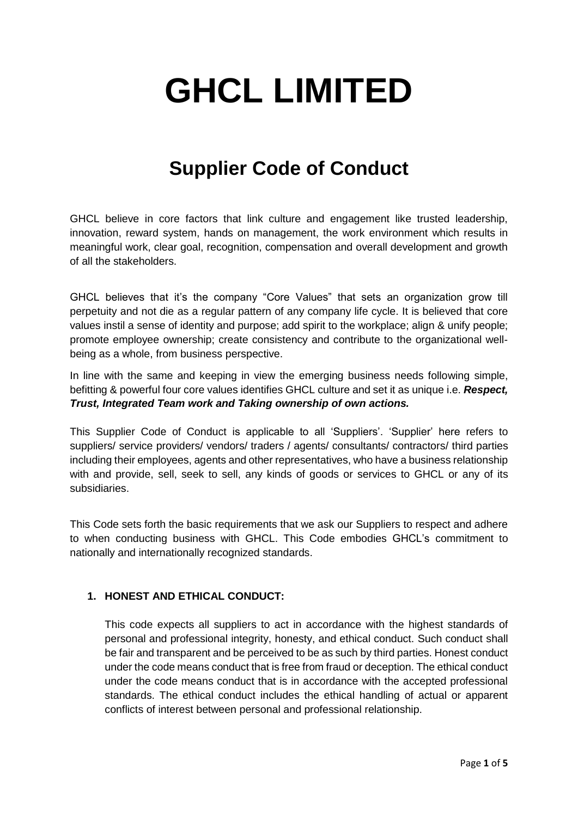# **GHCL LIMITED**

## **Supplier Code of Conduct**

GHCL believe in core factors that link culture and engagement like trusted leadership, innovation, reward system, hands on management, the work environment which results in meaningful work, clear goal, recognition, compensation and overall development and growth of all the stakeholders.

GHCL believes that it's the company "Core Values" that sets an organization grow till perpetuity and not die as a regular pattern of any company life cycle. It is believed that core values instil a sense of identity and purpose; add spirit to the workplace; align & unify people; promote employee ownership; create consistency and contribute to the organizational wellbeing as a whole, from business perspective.

In line with the same and keeping in view the emerging business needs following simple, befitting & powerful four core values identifies GHCL culture and set it as unique i.e. *Respect, Trust, Integrated Team work and Taking ownership of own actions.*

This Supplier Code of Conduct is applicable to all 'Suppliers'. 'Supplier' here refers to suppliers/ service providers/ vendors/ traders / agents/ consultants/ contractors/ third parties including their employees, agents and other representatives, who have a business relationship with and provide, sell, seek to sell, any kinds of goods or services to GHCL or any of its subsidiaries.

This Code sets forth the basic requirements that we ask our Suppliers to respect and adhere to when conducting business with GHCL. This Code embodies GHCL's commitment to nationally and internationally recognized standards.

#### **1. HONEST AND ETHICAL CONDUCT:**

This code expects all suppliers to act in accordance with the highest standards of personal and professional integrity, honesty, and ethical conduct. Such conduct shall be fair and transparent and be perceived to be as such by third parties. Honest conduct under the code means conduct that is free from fraud or deception. The ethical conduct under the code means conduct that is in accordance with the accepted professional standards. The ethical conduct includes the ethical handling of actual or apparent conflicts of interest between personal and professional relationship.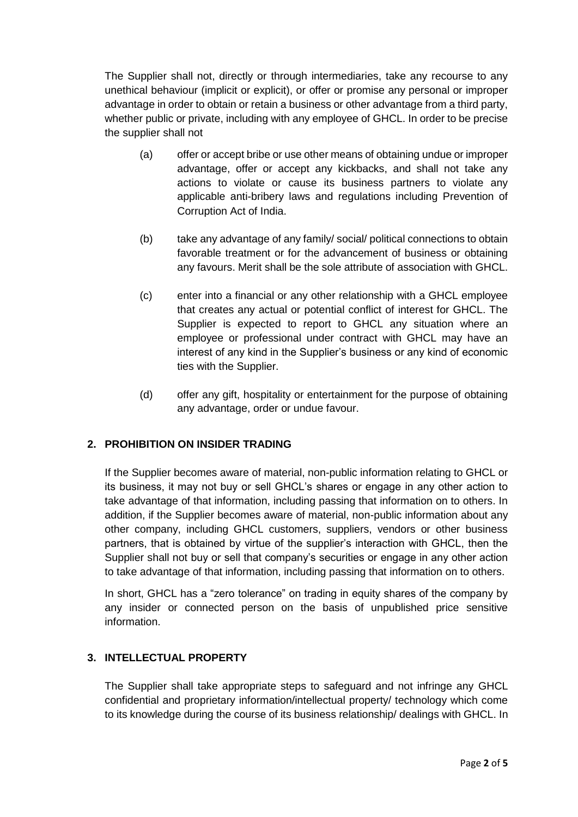The Supplier shall not, directly or through intermediaries, take any recourse to any unethical behaviour (implicit or explicit), or offer or promise any personal or improper advantage in order to obtain or retain a business or other advantage from a third party, whether public or private, including with any employee of GHCL. In order to be precise the supplier shall not

- (a) offer or accept bribe or use other means of obtaining undue or improper advantage, offer or accept any kickbacks, and shall not take any actions to violate or cause its business partners to violate any applicable anti-bribery laws and regulations including Prevention of Corruption Act of India.
- (b) take any advantage of any family/ social/ political connections to obtain favorable treatment or for the advancement of business or obtaining any favours. Merit shall be the sole attribute of association with GHCL.
- (c) enter into a financial or any other relationship with a GHCL employee that creates any actual or potential conflict of interest for GHCL. The Supplier is expected to report to GHCL any situation where an employee or professional under contract with GHCL may have an interest of any kind in the Supplier's business or any kind of economic ties with the Supplier.
- (d) offer any gift, hospitality or entertainment for the purpose of obtaining any advantage, order or undue favour.

#### **2. PROHIBITION ON INSIDER TRADING**

If the Supplier becomes aware of material, non-public information relating to GHCL or its business, it may not buy or sell GHCL's shares or engage in any other action to take advantage of that information, including passing that information on to others. In addition, if the Supplier becomes aware of material, non-public information about any other company, including GHCL customers, suppliers, vendors or other business partners, that is obtained by virtue of the supplier's interaction with GHCL, then the Supplier shall not buy or sell that company's securities or engage in any other action to take advantage of that information, including passing that information on to others.

In short, GHCL has a "zero tolerance" on trading in equity shares of the company by any insider or connected person on the basis of unpublished price sensitive information.

#### **3. INTELLECTUAL PROPERTY**

The Supplier shall take appropriate steps to safeguard and not infringe any GHCL confidential and proprietary information/intellectual property/ technology which come to its knowledge during the course of its business relationship/ dealings with GHCL. In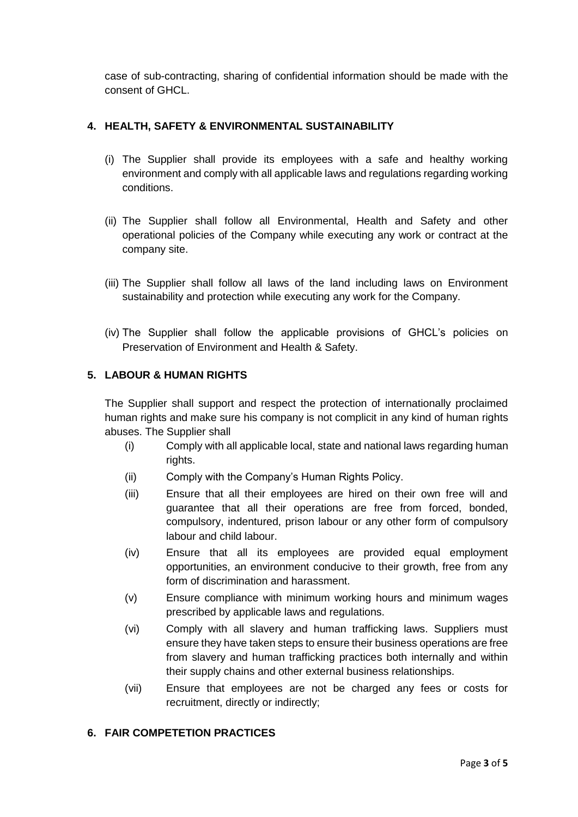case of sub-contracting, sharing of confidential information should be made with the consent of GHCL.

#### **4. HEALTH, SAFETY & ENVIRONMENTAL SUSTAINABILITY**

- (i) The Supplier shall provide its employees with a safe and healthy working environment and comply with all applicable laws and regulations regarding working conditions.
- (ii) The Supplier shall follow all Environmental, Health and Safety and other operational policies of the Company while executing any work or contract at the company site.
- (iii) The Supplier shall follow all laws of the land including laws on Environment sustainability and protection while executing any work for the Company.
- (iv) The Supplier shall follow the applicable provisions of GHCL's policies on Preservation of Environment and Health & Safety.

#### **5. LABOUR & HUMAN RIGHTS**

The Supplier shall support and respect the protection of internationally proclaimed human rights and make sure his company is not complicit in any kind of human rights abuses. The Supplier shall

- (i) Comply with all applicable local, state and national laws regarding human rights.
- (ii) Comply with the Company's Human Rights Policy.
- (iii) Ensure that all their employees are hired on their own free will and guarantee that all their operations are free from forced, bonded, compulsory, indentured, prison labour or any other form of compulsory labour and child labour.
- (iv) Ensure that all its employees are provided equal employment opportunities, an environment conducive to their growth, free from any form of discrimination and harassment.
- (v) Ensure compliance with minimum working hours and minimum wages prescribed by applicable laws and regulations.
- (vi) Comply with all slavery and human trafficking laws. Suppliers must ensure they have taken steps to ensure their business operations are free from slavery and human trafficking practices both internally and within their supply chains and other external business relationships.
- (vii) Ensure that employees are not be charged any fees or costs for recruitment, directly or indirectly;

#### **6. FAIR COMPETETION PRACTICES**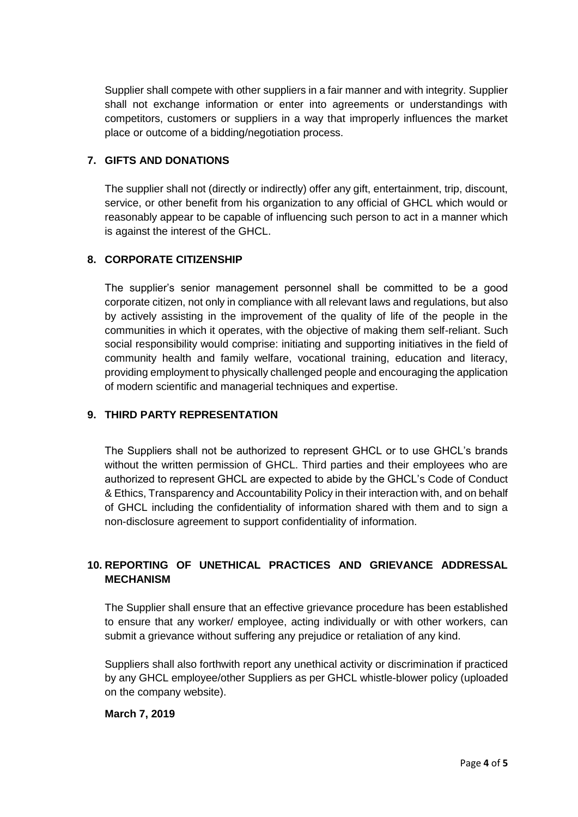Supplier shall compete with other suppliers in a fair manner and with integrity. Supplier shall not exchange information or enter into agreements or understandings with competitors, customers or suppliers in a way that improperly influences the market place or outcome of a bidding/negotiation process.

#### **7. GIFTS AND DONATIONS**

The supplier shall not (directly or indirectly) offer any gift, entertainment, trip, discount, service, or other benefit from his organization to any official of GHCL which would or reasonably appear to be capable of influencing such person to act in a manner which is against the interest of the GHCL.

#### **8. CORPORATE CITIZENSHIP**

The supplier's senior management personnel shall be committed to be a good corporate citizen, not only in compliance with all relevant laws and regulations, but also by actively assisting in the improvement of the quality of life of the people in the communities in which it operates, with the objective of making them self-reliant. Such social responsibility would comprise: initiating and supporting initiatives in the field of community health and family welfare, vocational training, education and literacy, providing employment to physically challenged people and encouraging the application of modern scientific and managerial techniques and expertise.

#### **9. THIRD PARTY REPRESENTATION**

The Suppliers shall not be authorized to represent GHCL or to use GHCL's brands without the written permission of GHCL. Third parties and their employees who are authorized to represent GHCL are expected to abide by the GHCL's Code of Conduct & Ethics, Transparency and Accountability Policy in their interaction with, and on behalf of GHCL including the confidentiality of information shared with them and to sign a non-disclosure agreement to support confidentiality of information.

#### **10. REPORTING OF UNETHICAL PRACTICES AND GRIEVANCE ADDRESSAL MECHANISM**

The Supplier shall ensure that an effective grievance procedure has been established to ensure that any worker/ employee, acting individually or with other workers, can submit a grievance without suffering any prejudice or retaliation of any kind.

Suppliers shall also forthwith report any unethical activity or discrimination if practiced by any GHCL employee/other Suppliers as per GHCL whistle-blower policy (uploaded on the company website).

#### **March 7, 2019**